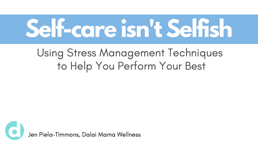# **Self-care isn't Selfish**

#### Using Stress Management Techniques to Help You Perform Your Best

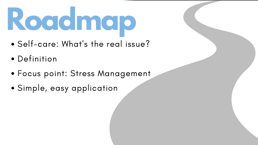# **Roadmap**

- Self-care: What' s the real issue?
- Definition
- Focus point: Stress Management
- Simple, easy application

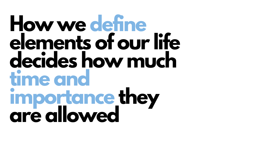#### **How we define elements of our life decides how much time and importance they are allowed**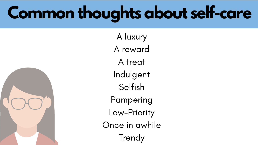#### **Common thoughts about self-care**

A luxury A reward A treat Indulgent Selfish Pampering Low-Priority Once in awhile Trendy

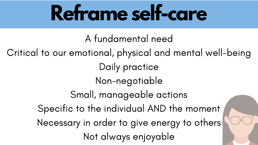## **Reframe self-care**

- A fundamental need
- Critical to our emotional, physical and mental well-being Daily practice
	- Non-negotiable
	- Small, manageable actions
	- Specific to the individual AND the moment
	- Necessary in order to give energy to others
		- Not always enjoyable



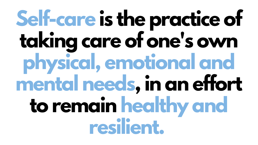## **Self-care is the practice of taking care of one's own physical, emotional and mental needs,in an effort to remain healthy and resilient.**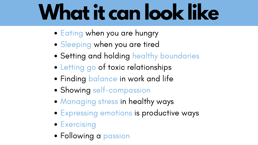## **Whatit can look like**

- Eating when you are hungry
- Sleeping when you are tired
- Setting and holding healthy boundaries
- Letting go of toxic relationships
- Finding balance in work and life
- Showing self-compassion
- Managing stress in healthy ways
- Expressing emotions is productive ways
- **Exercising**
- Following a passion

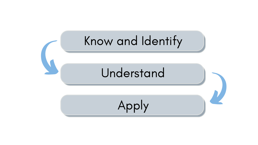#### Know and Identify

#### Understand

Apply

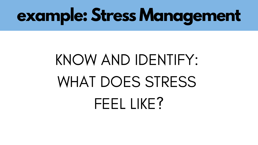#### KNOW AND IDENTIFY: WHAT DOES STRESS FEEL LIKE?

### **example: Stress Management**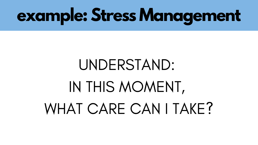### UNDERSTAND: IN THIS MOMENT, WHAT CARE CAN I TAKE?

#### **example: Stress Management**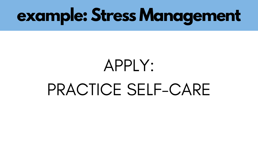#### APPLY: PRACTICE SELF-CARE

#### **example: Stress Management**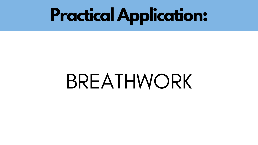## BREATHWORK



### **Practical Application:**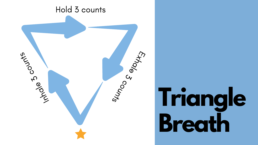

#### Hold 3 counts

# **Triangle Breath**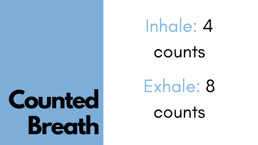# Inhale: 4 counts

## Exhale: 8 counts

# **Counted Breath**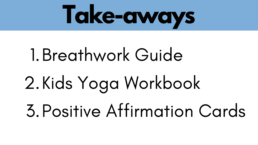# Breathwork Guide 1. Kids Yoga Workbook 2. Positive Affirmation Cards 3.



# **Take-aways**